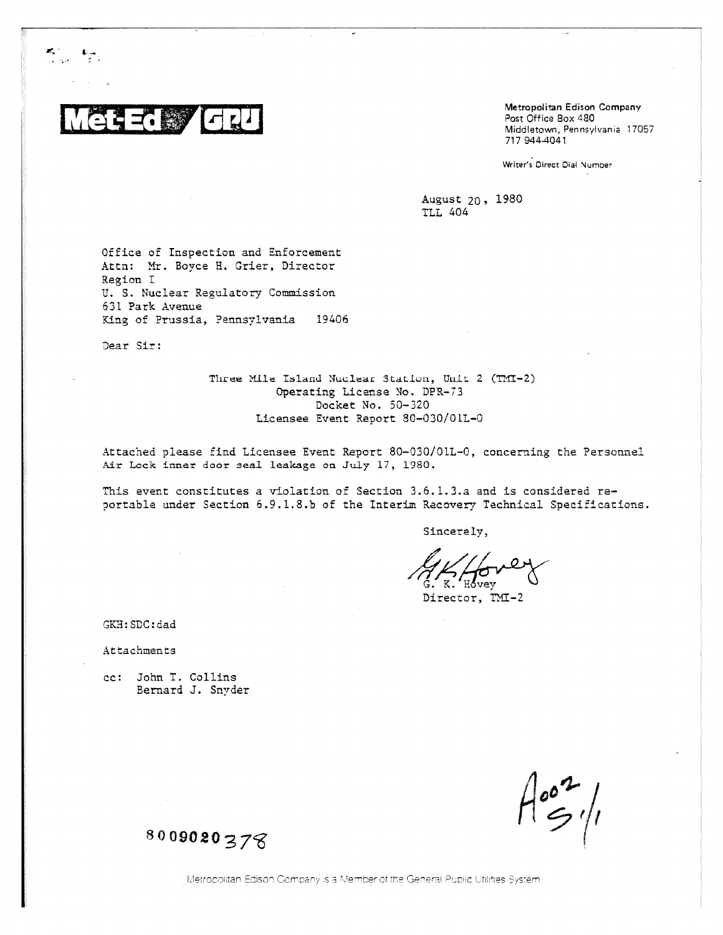

Metropolitan Edison Company Post Office Box 480 Middletown, Pennsylvania 17057 717 944-4041

Writer's Direct Dial Number

August 20, 1980 **TLL 404** 

Office of Inspection and Enforcement Attn: Mr. Boyce H. Grier, Director Region I U. S. Nuclear Regulatory Commission 631 Park Avenue King of Prussia, Pennsylvania 19406

Dear Sir:

Three Mile Island Nuclear Station, Unit 2 (TMT-2) Operating License No. DPR-73 Docket No. 50-320 Licensee Event Report 80-030/01L-0

Attached please find Licensee Event Report 80-030/01L-0, concerning the Personnel Air Lock inner door seal leakage on July 17, 1980.

This event constitutes a violation of Section 3.6.1.3.a and is considered reportable under Section 6.9.1.8.b of the Interim Recovery Technical Specifications.

Sincerely,

 $\mathbf{v}$ 

Director, TMI-2

GKH: SDC: dad

Attachments

cc: John T. Collins Bernard J. Snyder

8009020378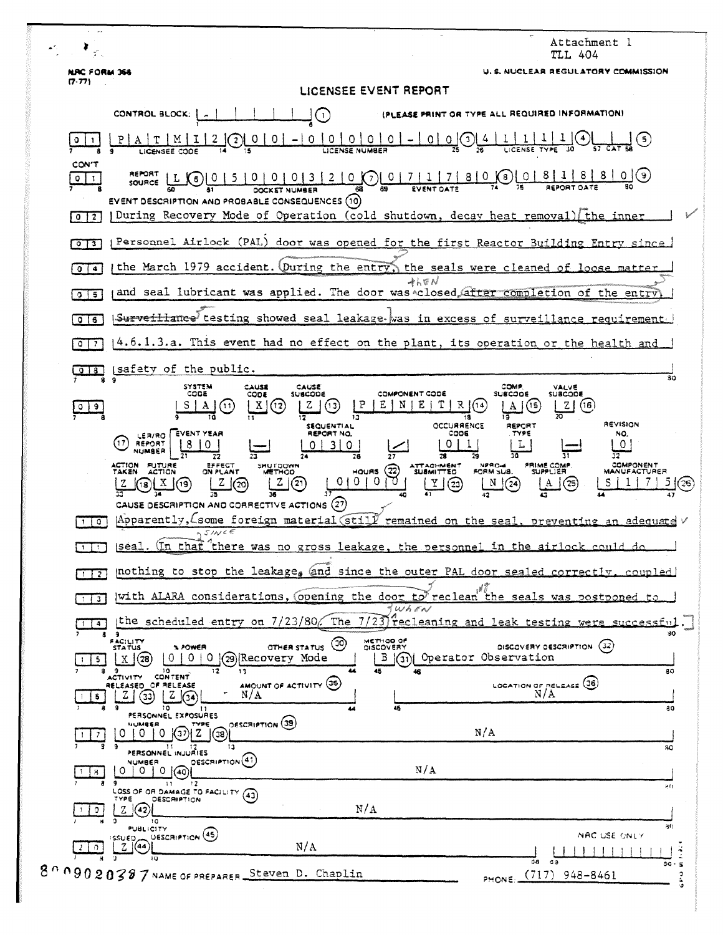| $\sim$                       |                                                                                                                                                                                                                                                                                                                                                                                |
|------------------------------|--------------------------------------------------------------------------------------------------------------------------------------------------------------------------------------------------------------------------------------------------------------------------------------------------------------------------------------------------------------------------------|
|                              | Attachment I<br>TLL 404                                                                                                                                                                                                                                                                                                                                                        |
| NRC FORM 368<br>(7.77)       | U. S. NUCLEAR REGULATORY COMMISSION                                                                                                                                                                                                                                                                                                                                            |
|                              | LICENSEE EVENT REPORT                                                                                                                                                                                                                                                                                                                                                          |
|                              | (PLEASE PRINT OR TYPE ALL REQUIRED INFORMATION)<br>CONTROL BLOCK:  <br>$\mathbf{L}$                                                                                                                                                                                                                                                                                            |
| $\circ$<br><b>CON'T</b>      | $\Omega$<br>$\circ$<br>0<br>$0 -$<br> 0 <br>(5)<br>$0$ $(3)$                                                                                                                                                                                                                                                                                                                   |
| 0<br>$\mathbf{1}$            | REPORT<br>(9)<br>0 0 0 0 3 2 0 0 0 7 1 7 8 0 0 0 8 1 8<br>$\cup$<br>$\left( 6\right)$<br>SOURCE<br>EVENT DESCRIPTION AND PROBABLE CONSEQUENCES (10)                                                                                                                                                                                                                            |
| 0 <sup>12</sup>              | During Recovery Mode of Operation (cold shutdown, decay heat removal) (the inner                                                                                                                                                                                                                                                                                               |
| $0$ $13$                     | Personnel Airlock (PAL) door was opened for the first Reactor Building Entry since                                                                                                                                                                                                                                                                                             |
| $\mathbf{0}$<br>$\bullet$    | the March 1979 accident. (During the entry, the seals were cleaned of loose matter<br>$4k$ EN                                                                                                                                                                                                                                                                                  |
| $0 \mid 5$                   | and seal lubricant was applied. The door was closed after completion of the entry                                                                                                                                                                                                                                                                                              |
| 0 <sub>16</sub>              | Surveillance testing showed seal leakage was in excess of surveillance requirement.                                                                                                                                                                                                                                                                                            |
| $Q$   $7$                    | 4.6.1.3.a. This event had no effect on the plant, its operation or the health and                                                                                                                                                                                                                                                                                              |
| 918                          | safety of the public.<br>30<br><b>SYSTEM</b><br>CAUSE<br>COMP.<br>CAUSE<br>VALVE                                                                                                                                                                                                                                                                                               |
| ಿ<br>$\overline{\mathsf{C}}$ | CODE<br>COMPONENT CODE<br><b>SUBCODE</b><br>CODE<br>SUBCODE<br><b>SUBCODE</b><br>Ε<br>P<br>Ν<br>R<br>z<br>E<br>Z<br>X<br>(13<br>(16)<br>(12)<br>(14<br>A<br>(11)<br>18                                                                                                                                                                                                         |
|                              | REVISION<br>OCCURRENCE<br>REPORT<br><b>SEQUENTIAL</b><br>EVENT YEAR<br>REPORT NO.<br>CODE<br>TYPE<br>NO.<br>LER/RO  <br>17<br>REPORT<br>0<br>$\overline{0}$<br>L<br>3.<br><b>O</b><br>Ω<br>NUMBER<br>٦0<br>28<br>26<br>27<br>29                                                                                                                                                |
|                              | <b>COMPONENT</b><br>ACTION FUTURE<br><b>ATTACHMENT</b><br><b>NPRO-4</b><br><b>FRIME COMP</b><br>EFFECT<br>SMUTDOWN<br>$\left( 22\right)$<br><b>TAKEN</b><br><b>ACTION</b><br><b>SUPPLIER</b><br>ON PLANT<br>HOUAS<br><b>SUBMITTED</b><br>FORM SUB.<br><b>MANUFACTURER</b><br><b>METHOD</b><br>0.<br>-0<br>O<br>(25)<br>s<br>$\left( 23\right)$<br>N<br>(24)<br>$^{(26)}$<br>18 |
| $1 \mid 0$                   | (27)<br>CAUSE DESCRIPTION AND CORRECTIVE ACTIONS<br>Apparently, some foreign material still remained on the seal, preventing an adequate $\vee$                                                                                                                                                                                                                                |
| -11                          | SIN<€<br>(In that there was no gross leakage, the personnel in the airlock could do<br> seal.                                                                                                                                                                                                                                                                                  |
| $1\,1\,2$                    | mothing to stop the leakage, and since the outer PAL door sealed correctly, coupled                                                                                                                                                                                                                                                                                            |
| 3                            | with ALARA considerations, (opening the door to reclean the seals was postponed to<br>$\P$ When                                                                                                                                                                                                                                                                                |
| $\overline{4}$               | the scheduled entry on 7/23/80. The 7/23 recleaning and leak testing were successful<br>89                                                                                                                                                                                                                                                                                     |
| $\mathsf{I}$                 | FACILITY<br>STATUS<br>METHOD OF<br>ම<br>(32)<br>DISCOVERY DESCRIPTION<br>OTHER STATUS<br><b>DISCOVERY</b><br><b>X POWER</b><br>29 Recovery Mode<br>Operator Observation<br>0.<br>$\overline{0}$<br>0<br>B<br>(31<br>10.<br>11<br>45<br>80                                                                                                                                      |
| 6.                           | ACTIVITY CONTENT<br>AMOUNT OF ACTIVITY (35)<br>LOCATION OF RELEASE (36)<br>RELEASED OF RELEASE<br>$N/\Lambda$<br>Z.<br>N/A<br>(33)<br>Z                                                                                                                                                                                                                                        |
|                              | 45<br>30<br>۱٥<br>PERSONNEL EXPOSURES<br>OESCRIPTION (39)<br>NUMBER                                                                                                                                                                                                                                                                                                            |
| -7                           | N/A<br>-0<br>O<br>(38)<br>-9<br>$\mathbf{H}$<br>13.<br>30<br>PERSONNEL INJURIES                                                                                                                                                                                                                                                                                                |
| 8.                           | DESCRIPTION <sup>(41)</sup><br>NUMBER<br>$N/\Lambda$<br>0<br>0(40)<br>0<br>э<br>11<br>17<br>見白                                                                                                                                                                                                                                                                                 |
| Э.                           | LOSS OF OR DAMAGE TO FACILITY (43)<br><b>DESCRIPTION</b><br>TYPE<br>N/A<br>z<br> (42) <br>10                                                                                                                                                                                                                                                                                   |
| $\Omega$                     | 80<br><b>PUBLICITY</b><br>DESCRIPTION (45)<br>NAC USE ONLY<br>سر SSUED<br>Z(44)<br>N/A<br>ΙU<br>- 69<br>68.                                                                                                                                                                                                                                                                    |
|                              | $30 -$<br>$\leq$<br>$8009020387$ NAME OF PREPARER.<br>Steven D. Chaplin<br>$(717)$ 948-8461<br>٥<br>PHONE:                                                                                                                                                                                                                                                                     |